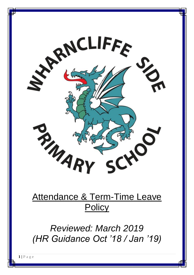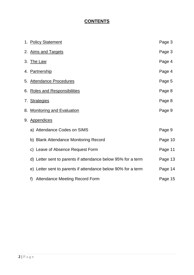# **CONTENTS**

| 1. Policy Statement                                          | Page 3  |
|--------------------------------------------------------------|---------|
| 2. Aims and Targets                                          | Page 3  |
| 3. The Law                                                   | Page 4  |
| 4. Partnership                                               | Page 4  |
| 5. Attendance Procedures                                     | Page 5  |
| 6. Roles and Responsibilities                                | Page 8  |
| 7. Strategies                                                | Page 8  |
| 8. Monitoring and Evaluation                                 | Page 9  |
| 9. Appendices                                                |         |
| a) Attendance Codes on SIMS                                  | Page 9  |
| b) Blank Attendance Monitoring Record                        | Page 10 |
| c) Leave of Absence Request Form                             | Page 11 |
| d) Letter sent to parents if attendance below 95% for a term | Page 13 |
| e) Letter sent to parents if attendance below 90% for a term | Page 14 |
| <b>Attendance Meeting Record Form</b><br>f)                  | Page 15 |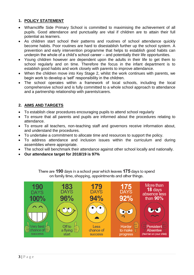## **1. POLICY STATEMENT**

- Wharncliffe Side Primary School is committed to maximising the achievement of all pupils. Good attendance and punctuality are vital if children are to attain their full potential as learners.
- As children start school their patterns and routines of school attendance quickly become habits. Poor routines are hard to disestablish further up the school system. A prevention and early intervention programme that helps to establish good habits can underpin the whole of a child's school career – and potentially their life opportunities.
- Young children however are dependent upon the adults in their life to get them to school regularly and on time. Therefore the focus in the infant department is to establish good habits and work closely with parents to improve attendance.
- When the children move into Key Stage 2, whilst the work continues with parents, we begin work to develop a 'self' responsibility in the children.
- The school operates within a framework of local schools, including the local comprehensive school and is fully committed to a whole school approach to attendance and a partnership relationship with parents/carers.

## **2. AIMS AND TARGETS**

- To establish clear procedures encouraging pupils to attend school regularly
- To ensure that all parents and pupils are informed about the procedures relating to attendance.
- To ensure all teachers, non-teaching staff and governors receive information about, and understand the procedures.
- To undertake a commitment to allocate time and resources to support the policy.
- To address attendance and inclusion issues within the curriculum and during assemblies where appropriate.
- The school will benchmark their attendance against other school locally and nationally.
- **Our attendance target for 2018/19 is 97%**



There are 190 days in a school year which leaves 175 days to spend on family time, shopping, appointments and other things.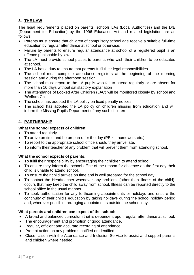## **3. THE LAW**

The legal requirements placed on parents, schools LAs (Local Authorities) and the DfE (Department for Education) by the 1996 Education Act and related legislation are as follows:

- Parents must ensure that children of compulsory school age receive a suitable full-time education by regular attendance at school or otherwise.
- Failure by parents to ensure regular attendance at school of a registered pupil is an offence punishable by law.
- The LA must provide school places to parents who wish their children to be educated at school.
- The LA has a duty to ensure that parents fulfil their legal responsibilities.
- The school must complete attendance registers at the beginning of the morning session and during the afternoon session.
- The school must report to the LA pupils who fail to attend regularly or are absent for more than 10 days without satisfactory explanation
- The attendance of Looked After Children (LAC) will be monitored closely by school and 'Welfare Call'.
- The school has adopted the LA policy on fixed penalty notices.
- The school has adopted the LA policy on children missing from education and will inform the Missing Pupils Department of any such children

## **4. PARTNERSHIP**

## **What the school expects of children:**

- To attend regularly.
- To arrive on time and be prepared for the day (PE kit, homework etc.)
- To report to the appropriate school office should they arrive late.
- To inform their teacher of any problem that will prevent them from attending school.

#### **What the school expects of parents:**

- To fulfil their responsibility by encouraging their children to attend school.
- To ensure they inform the school office of the reason for absence on the first day their child is unable to attend school.
- To ensure their child arrives on time and is well prepared for the school day.
- To contact the Headteacher whenever any problem, (other than illness of the child), occurs that may keep the child away from school. Illness can be reported directly to the school office in the usual manner.
- To seek authorisation for any forthcoming appointments or holidays and ensure the continuity of their child's education by taking holidays during the school holiday period and, wherever possible, arranging appointments outside the school day.

#### **What parents and children can expect of the school:**

- A broad and balanced curriculum that is dependent upon regular attendance at school.
- The encouragement and promotion of good attendance.
- Regular, efficient and accurate recording of attendance.
- Prompt action on any problems notified or identified.
- Close liaison with the Attendance and Inclusion Service to assist and support parents and children where needed.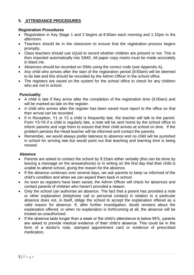## **5. ATTENDANCE PROCEDURES**

### **Registration Procedures**

- Registration in Key Stage 1 and 2 begins at 8:50am each morning and 1:15pm in the afternoon.
- Teachers should be in the classroom to ensure that the registration process begins promptly.
- Class teachers should use sQuid to record whether children are present or not. This is then imported automatically into SIMS. All paper copy marks must be made accurately in black ink.
- Absences should be recorded on SIMs using the correct code (see Appendix A).
- Any child who arrives after the start of the registration period (8:50am) will be deemed to be late and this should be recorded by the Admin Officer in the school office.
- The registers are saved on the system for the school office to check for any children who are not in school.

## **Punctuality**

- A child is late if they arrive after the completion of the registration time (9.00am) and will be marked as late on the register.
- A child who arrives after the register has been saved must report to the office so that their arrival can be recorded.
- If in Reception, Y1 or Y2 a child is frequently late, the teacher will talk to the parent. From Y3-Y6 if a child is regularly late, a note will be sent home by the school office to inform parents and urge them to ensure that their child arrives at school on time. If the problem persists the Head teacher will be informed and contact the parents.
- Remember, we would always prefer lateness to absence and no child will be punished in school for arriving late but would point out that teaching and learning time is being missed.

#### **Absence**

- Parents are asked to contact the school by 9:15am either verbally (this can be done by leaving a message on the answerphone) or in writing on the first day that their child is unable to attend school, giving the reason for the absence.
- If the absence continues over several days, we ask parents to keep us informed of the child's condition and when we can expect them back in school.
- As soon as registers have been saved, the Admin Officer will check for absences and contact parents of children who haven't provided a reason.
- Only the school can authorise an absence. The fact that a parent has provided a note or other explanation (telephone call or personal contact) in relation to a particular absence does not, in itself, oblige the school to accept the explanation offered as a valid reason for absence. If, after further investigation, doubt remains about the explanation offered, or when no explanation is forthcoming at all, the absence will be treated as unauthorised.
- If the absence lasts longer than a week or the child's attendance is below 95%, parents are asked to provide medical evidence of their child's absence. This could be in the form of a doctor's note, stamped appointment card or evidence of prescribed medication.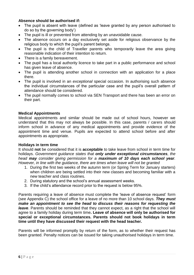#### **Absence should be authorised if:**

- The pupil is absent with leave (defined as 'leave granted by any person authorised to do so by the governing body')
- The pupil is ill or prevented from attending by an unavoidable cause.
- The absence occurs on a day exclusively set aside for religious observance by the religious body to which the pupil's parent belongs.
- The pupil is the child of Traveller parents who temporarily leave the area giving reasonable indication of their intention to return.
- There is a family bereavement.
- The pupil has a local authority licence to take part in a public performance and school has given leave of absence.
- The pupil is attending another school in connection with an application for a place there.
- The pupil is involved in an *exceptional* special occasion. In authorising such absence the individual circumstances of the particular case and the pupil's overall pattern of attendance should be considered.
- The pupil normally comes to school via SEN Transport and there has been an error on their part.

#### **Medical Appointments**

Medical appointments and similar should be made out of school hours, however we understand that this may not always be possible. In this case, parents / carers should inform school in advance of any medical appointments and provide evidence of the appointment time and venue. Pupils are expected to attend school before and after appointments as appropriate.

#### **Holidays in term time**

It should **not** be considered that it is **acceptable** to take leave from school in term time for holidays. *Government guidance states that only under exceptional circumstances, the head may consider giving permission for a maximum of 10 days each school year. However, in line with the guidance, there are times when leave will not be granted*

- 1. During the first two weeks of the autumn term (or Spring Term for January starters) when children are being settled into their new classes and becoming familiar with a new teacher and class routines.
- 2. During statutory and the school's annual assessment weeks.
- 3. If the child's attendance record prior to the request is below 95%.

Parents requiring a leave of absence must complete the 'leave of absence request' form (see Appendix C) the school office for a leave of no more than 10 school days. *They must make an appointment to see the head to discuss their reasons for requesting the leave*. Parents should be reminded that they cannot expect, as a right that the school will agree to a family holiday during term time**. Leave of absence will only be authorised for special or exceptional circumstances. Parents should not book holidays in term time until they have discussed their request with the head teacher.**

Parents will be informed promptly by return of the form, as to whether their request has been granted. Penalty notices can be issued for taking unauthorised holidays in term time.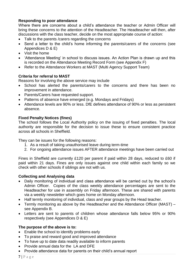#### **Responding to poor attendance**

Where there are concerns about a child's attendance the teacher or Admin Officer will bring these concerns to the attention of the Headteacher. The Headteacher will then, after discussions with the class teacher, decide on the most appropriate course of action:

- Talk to the parents / carers regarding the concerns
- Send a letter to the child's home informing the parents/carers of the concerns (see Appendices D & E)
- Visit the home
- 'Attendance Meeting' in school to discuss issues. An Action Plan is drawn up and this is recorded on the Attendance Meeting Record Form (see Appendix F)
- Refer to the Attendance Workers at MAST (Multi Agency Support Team)

#### **Criteria for referral to MAST**

Reasons for involving the above service may include

- School has alerted the parents/carers to the concerns and there has been no improvement in attendance.
- Parents/Carers have requested support.
- Patterns of absence have emerged (e.g. Mondays and Fridays)
- Attendance levels are 90% or less. DfE defines attendance of 90% or less as persistent absence.

#### **Fixed Penalty Notices (fines)**

The school follows the Local Authority policy on the issuing of fixed penalties. The local authority are responsible for the decision to issue these to ensure consistent practice across all schools in Sheffield.

They can be issues for the following reasons:

- 1. As a result of taking unauthorised leave during term-time
- 2. For ongoing attendance issues AFTER attendance meetings have been carried out

Fines in Sheffield are currently £120 per parent if paid within 28 days, reduced to £60 if paid within 21 days. Fines are only issues against one child within each family so we check with other schools if siblings are not with us.

#### **Collecting and Analysing data**

- Daily monitoring of individual and class attendance will be carried out by the school's Admin Officer. Copies of the class weekly attendance percentages are sent to the Headteacher for use in assembly on Friday afternoon. These are shared with parents via a weekly newsletter which goes home on Monday afternoon.
- Half termly monitoring of individual, class and year groups by the Head teacher.
- Termly monitoring as above by the Headteacher and the Attendance Officer (MAST) see Appendix B.
- Letters are sent to parents of children whose attendance falls below 95% or 90% respectively (see Appendices D & E)

#### **The purpose of the above is to:**

- Enable the school to identify problems early
- To praise and reward good and improved attendance
- To have up to date data readily available to inform parents
- Provide annual data for the LA and DFE
- Provide attendance data for parents on their child's annual report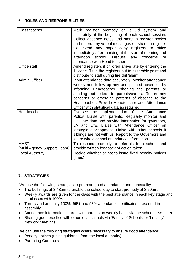## 6. **ROLES AND RESPONSIBILITIES**

| Class teacher               | Mark register promptly on sQuid system and<br>accurately at the beginning of each school session.<br>Collect absence notes and store in register pocket<br>and record any verbal messages on sheet in register<br>file. Send any paper copy registers to office<br>immediately after marking at the start of morning and<br>afternoon<br>school. Discuss<br>any<br>concerns<br>re<br>attendance with Head teacher. |
|-----------------------------|--------------------------------------------------------------------------------------------------------------------------------------------------------------------------------------------------------------------------------------------------------------------------------------------------------------------------------------------------------------------------------------------------------------------|
| Office staff                | Amend registers if children arrive late by entering the<br>'L' code. Take the registers out to assembly point and<br>distribute to staff during fire drill/alarm.                                                                                                                                                                                                                                                  |
| <b>Admin Officer</b>        | Input attendance data accurately. Monitor attendance<br>weekly and follow up any unexplained absences by<br>informing Headteacher, phoning the parents or<br>sending out letters to parents/carers. Report any<br>concerns or emerging patterns of absence to the<br>Headteacher, Provide Headteacher and Attendance<br>Officer with statistical data as required.                                                 |
| Headteacher                 | Oversee the implementation of the Attendance<br>Policy. Liaise with parents. Regularly monitor and<br>evaluate data and provide information for governors,<br>LA and DfE. Liaise with Attendance Officer on<br>strategic development. Liaise with other schools if<br>siblings are not with us. Report to the Governors and<br>share whole-school attendance information.                                          |
| <b>MAST</b>                 | To respond promptly to referrals from school and                                                                                                                                                                                                                                                                                                                                                                   |
| (Multi Agency Support Team) | provide written feedback of action taken.                                                                                                                                                                                                                                                                                                                                                                          |
| <b>Local Authority</b>      | Decide whether or not to issue fixed penalty notices<br>(fines)                                                                                                                                                                                                                                                                                                                                                    |

## **7. STRATEGIES**

We use the following strategies to promote good attendance and punctuality:

- The bell rings at 8.48am to enable the school day to start promptly at 8.50am.
- Weekly awards are given for the class with the best attendance in each key stage and for classes with 100%.
- Termly and annually 100%, 99% and 98% attendance certificates presented in assembly.
- Attendance information shared with parents on weekly basis via the school newsletter
- Sharing good practice with other local schools via 'Family of Schools' or 'Locality' Network Meetings.

We can use the following strategies where necessary to ensure good attendance:

- Penalty notices (using guidance from the local authority)
- Parenting Contracts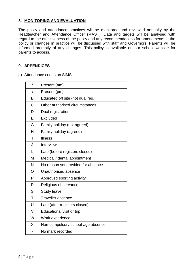#### **8. MONITORING AND EVALUATION**

The policy and attendance practices will be monitored and reviewed annually by the Headteacher and Attendance Officer (MAST). Data and targets will be analysed with regard to the effectiveness of the policy and any recommendations for amendments to the policy or changes in practice will be discussed with staff and Governors. Parents will be informed promptly of any changes. This policy is available on our school website for parents to access.

#### **9. APPENDICES**

a) Attendance codes on SIMS:

| $\overline{1}$ | Present (am)                       |
|----------------|------------------------------------|
| $\backslash$   | Present (pm)                       |
| B              | Educated off site (not dual reg.)  |
| C              | Other authorised circumstances     |
| D              | Dual registration                  |
| E              | Excluded                           |
| G              | Family holiday (not agreed)        |
| H              | Family holiday (agreed)            |
| $\overline{1}$ | <b>Illness</b>                     |
| J              | Interview                          |
| L              | Late (before registers closed)     |
| M              | Medical / dental appointment       |
| N              | No reason yet provided for absence |
| O              | Unauthorised absence               |
| P              | Approved sporting activity         |
| R              | Religious observance               |
| S              | <b>Study leave</b>                 |
| T              | <b>Traveller absence</b>           |
| U              | Late (after registers closed)      |
| V              | Educational visit or trip          |
| W              | Work experience                    |
| X              | Non-compulsory school-age absence  |
|                | No mark recorded                   |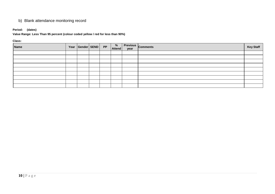## b) Blank attendance monitoring record

#### **Period: (dates)**

#### **Value Range: Less Than 95 percent (colour coded yellow / red for less than 90%)**

**Class:**

| <b>Name</b> | Year Gender SEND PP |  | %<br><b>Attend</b> | year | <b>Previous</b> Comments | <b>Key Staff</b> |
|-------------|---------------------|--|--------------------|------|--------------------------|------------------|
|             |                     |  |                    |      |                          |                  |
|             |                     |  |                    |      |                          |                  |
|             |                     |  |                    |      |                          |                  |
|             |                     |  |                    |      |                          |                  |
|             |                     |  |                    |      |                          |                  |
|             |                     |  |                    |      |                          |                  |
|             |                     |  |                    |      |                          |                  |
|             |                     |  |                    |      |                          |                  |
|             |                     |  |                    |      |                          |                  |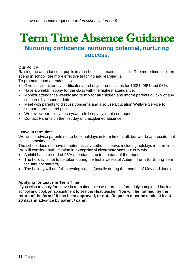# Term Time Absence Guidance

# **Nurturing confidence, nurturing potential, nurturing success.**

## **Our Policy**

Raising the attendance of pupils in all schools is a national issue. The more time children spend in school, the more effective teaching and learning is.

To promote good attendance we:

- Give individual termly certificates / end of year certificates for 100%, 99% and 98%.
- Have a weekly Trophy for the class with the highest attendance.
- Monitor attendance weekly and termly for all children and inform parents quickly of any concerns by phone or letter.
- Meet with parents to discuss concerns and also use Education Welfare Service to support parents and pupils.
- We review our policy each year, a full copy available on request.
- Contact Parents on the first day of unexplained absence.

#### **Leave in term time**

We would advise parents not to book holidays in term time at all, but we do appreciate that this is sometimes difficult.

The school does not have to automatically authorise leave, including holidays in term time. We will consider authorisation in **exceptional circumstances** but only when:

- A child has a record of 95% attendance up to the date of the request.
- The holiday is not to be taken during the first 2 weeks of Autumn Term (or Spring Term for January starters).
- The holiday will not fall in testing weeks (usually during the months of May and June).

#### **Applying for Leave in Term Time**

If you wish to apply for leave in term time please return this form duly completed back to school and book an appointment to see the Headteacher **You will be notified by the return of the form if it has been approved, or not. Requests must be made at least 20 days in advance by parent / carer.**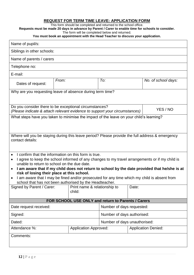#### **REQUEST FOR TERM TIME LEAVE: APPLICATION FORM**

This form should be completed and returned to the school office.

**Requests must be made 20 days in advance by Parent / Carer to enable time for schools to consider.** 

The form will be completed below and returned.

**You must book an appointment with the Head Teacher to discuss your application.**

| Name of pupil/s:                                                                                                                                                                                                                                                                                                                                                                                                                                                                                                                                     |       |        |                                                         |                            |                     |  |  |
|------------------------------------------------------------------------------------------------------------------------------------------------------------------------------------------------------------------------------------------------------------------------------------------------------------------------------------------------------------------------------------------------------------------------------------------------------------------------------------------------------------------------------------------------------|-------|--------|---------------------------------------------------------|----------------------------|---------------------|--|--|
| Siblings in other schools:                                                                                                                                                                                                                                                                                                                                                                                                                                                                                                                           |       |        |                                                         |                            |                     |  |  |
| Name of parents / carers                                                                                                                                                                                                                                                                                                                                                                                                                                                                                                                             |       |        |                                                         |                            |                     |  |  |
| Telephone no:                                                                                                                                                                                                                                                                                                                                                                                                                                                                                                                                        |       |        |                                                         |                            |                     |  |  |
| E-mail:                                                                                                                                                                                                                                                                                                                                                                                                                                                                                                                                              |       |        |                                                         |                            |                     |  |  |
| Dates of request:                                                                                                                                                                                                                                                                                                                                                                                                                                                                                                                                    | From: |        | To:                                                     |                            | No. of school days: |  |  |
| Why are you requesting leave of absence during term time?                                                                                                                                                                                                                                                                                                                                                                                                                                                                                            |       |        |                                                         |                            |                     |  |  |
| Do you consider there to be exceptional circumstances?<br>(Please indicate & attach relevant evidence to support your circumstances)                                                                                                                                                                                                                                                                                                                                                                                                                 |       |        |                                                         |                            | YES / NO            |  |  |
| What steps have you taken to minimise the impact of the leave on your child's learning?                                                                                                                                                                                                                                                                                                                                                                                                                                                              |       |        |                                                         |                            |                     |  |  |
| Where will you be staying during this leave period? Please provide the full address & emergency<br>contact details:                                                                                                                                                                                                                                                                                                                                                                                                                                  |       |        |                                                         |                            |                     |  |  |
| I confirm that the information on this form is true.<br>$\bullet$<br>I agree to keep the school informed of any changes to my travel arrangements or if my child is<br>unable to return to school on the due date.<br>I am aware that if my child does not return to school by the date provided that he/she is at<br>$\bullet$<br>risk of losing their place at this school.<br>I am aware that I may be fined and/or prosecuted for any time which my child is absent from<br>$\bullet$<br>school that has not been authorised by the Headteacher. |       |        |                                                         |                            |                     |  |  |
| Signed by Parent / Carer:   Print name & relationship to                                                                                                                                                                                                                                                                                                                                                                                                                                                                                             |       | child: | Date:                                                   |                            |                     |  |  |
|                                                                                                                                                                                                                                                                                                                                                                                                                                                                                                                                                      |       |        |                                                         |                            |                     |  |  |
| FOR SCHOOL USE ONLY and return to Parents / Carers                                                                                                                                                                                                                                                                                                                                                                                                                                                                                                   |       |        |                                                         |                            |                     |  |  |
| Date request received:                                                                                                                                                                                                                                                                                                                                                                                                                                                                                                                               |       |        | Number of days requested:<br>Number of days authorised: |                            |                     |  |  |
| Signed:<br>Dated:                                                                                                                                                                                                                                                                                                                                                                                                                                                                                                                                    |       |        | Number of days unauthorised:                            |                            |                     |  |  |
| Attendance %:<br><b>Application Approved:</b>                                                                                                                                                                                                                                                                                                                                                                                                                                                                                                        |       |        |                                                         | <b>Application Denied:</b> |                     |  |  |
| Comments:                                                                                                                                                                                                                                                                                                                                                                                                                                                                                                                                            |       |        |                                                         |                            |                     |  |  |
|                                                                                                                                                                                                                                                                                                                                                                                                                                                                                                                                                      |       |        |                                                         |                            |                     |  |  |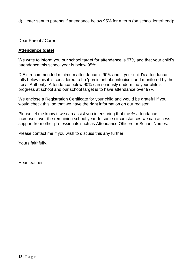d) Letter sent to parents if attendance below 95% for a term (on school letterhead):

Dear Parent / Carer,

## **Attendance (date)**

We write to inform you our school target for attendance is 97% and that your child's attendance this school year is below 95%.

DfE's recommended minimum attendance is 90% and if your child's attendance falls below this it is considered to be 'persistent absenteeism' and monitored by the Local Authority. Attendance below 90% can seriously undermine your child's progress at school and our school target is to have attendance over 97%.

We enclose a Registration Certificate for your child and would be grateful if you would check this, so that we have the right information on our register.

Please let me know if we can assist you in ensuring that the % attendance increases over the remaining school year. In some circumstances we can access support from other professionals such as Attendance Officers or School Nurses.

Please contact me if you wish to discuss this any further.

Yours faithfully,

Headteacher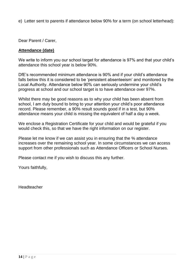e) Letter sent to parents if attendance below 90% for a term (on school letterhead):

Dear Parent / Carer,

## **Attendance (date)**

We write to inform you our school target for attendance is 97% and that your child's attendance this school year is below 90%.

DfE's recommended minimum attendance is 90% and if your child's attendance falls below this it is considered to be 'persistent absenteeism' and monitored by the Local Authority. Attendance below 90% can seriously undermine your child's progress at school and our school target is to have attendance over 97%.

Whilst there may be good reasons as to why your child has been absent from school, I am duty bound to bring to your attention your child's poor attendance record. Please remember, a 90% result sounds good if in a test, but 90% attendance means your child is missing the equivalent of half a day a week.

We enclose a Registration Certificate for your child and would be grateful if you would check this, so that we have the right information on our register.

Please let me know if we can assist you in ensuring that the % attendance increases over the remaining school year. In some circumstances we can access support from other professionals such as Attendance Officers or School Nurses.

Please contact me if you wish to discuss this any further.

Yours faithfully,

Headteacher